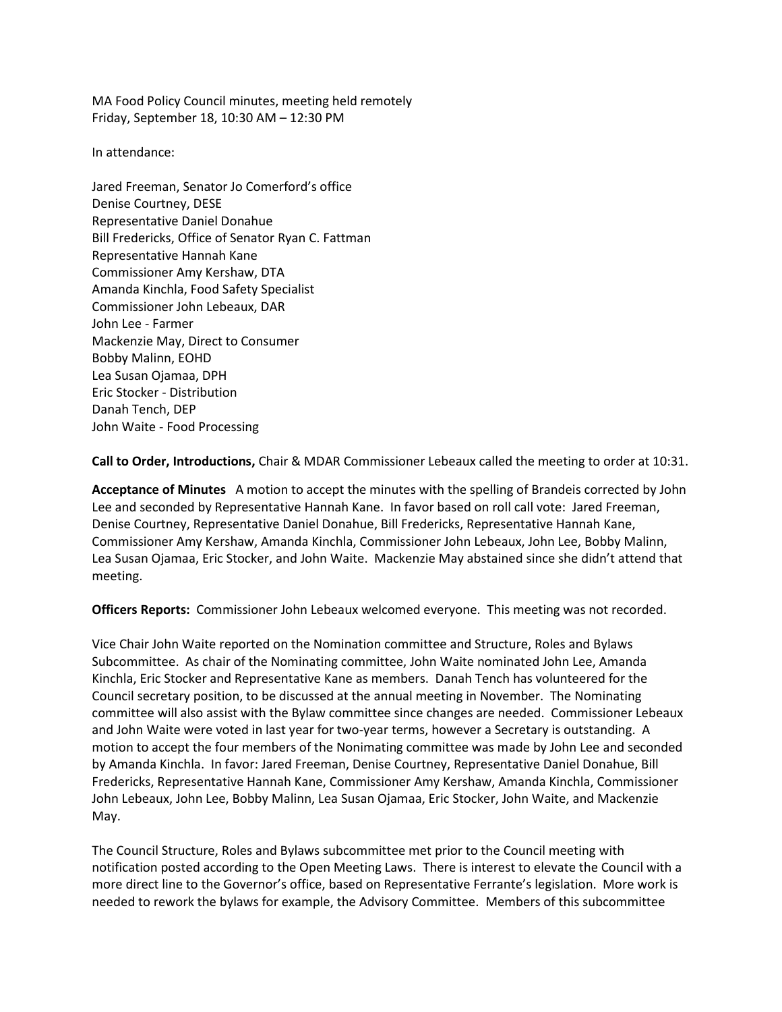MA Food Policy Council minutes, meeting held remotely Friday, September 18, 10:30 AM – 12:30 PM

In attendance:

Jared Freeman, Senator Jo Comerford's office Denise Courtney, DESE Representative Daniel Donahue Bill Fredericks, Office of Senator Ryan C. Fattman Representative Hannah Kane Commissioner Amy Kershaw, DTA Amanda Kinchla, Food Safety Specialist Commissioner John Lebeaux, DAR John Lee - Farmer Mackenzie May, Direct to Consumer Bobby Malinn, EOHD Lea Susan Ojamaa, DPH Eric Stocker - Distribution Danah Tench, DEP John Waite - Food Processing

**Call to Order, Introductions,** Chair & MDAR Commissioner Lebeaux called the meeting to order at 10:31.

**Acceptance of Minutes** A motion to accept the minutes with the spelling of Brandeis corrected by John Lee and seconded by Representative Hannah Kane. In favor based on roll call vote: Jared Freeman, Denise Courtney, Representative Daniel Donahue, Bill Fredericks, Representative Hannah Kane, Commissioner Amy Kershaw, Amanda Kinchla, Commissioner John Lebeaux, John Lee, Bobby Malinn, Lea Susan Ojamaa, Eric Stocker, and John Waite. Mackenzie May abstained since she didn't attend that meeting.

**Officers Reports:** Commissioner John Lebeaux welcomed everyone. This meeting was not recorded.

Vice Chair John Waite reported on the Nomination committee and Structure, Roles and Bylaws Subcommittee. As chair of the Nominating committee, John Waite nominated John Lee, Amanda Kinchla, Eric Stocker and Representative Kane as members. Danah Tench has volunteered for the Council secretary position, to be discussed at the annual meeting in November. The Nominating committee will also assist with the Bylaw committee since changes are needed. Commissioner Lebeaux and John Waite were voted in last year for two-year terms, however a Secretary is outstanding. A motion to accept the four members of the Nonimating committee was made by John Lee and seconded by Amanda Kinchla. In favor: Jared Freeman, Denise Courtney, Representative Daniel Donahue, Bill Fredericks, Representative Hannah Kane, Commissioner Amy Kershaw, Amanda Kinchla, Commissioner John Lebeaux, John Lee, Bobby Malinn, Lea Susan Ojamaa, Eric Stocker, John Waite, and Mackenzie May.

The Council Structure, Roles and Bylaws subcommittee met prior to the Council meeting with notification posted according to the Open Meeting Laws. There is interest to elevate the Council with a more direct line to the Governor's office, based on Representative Ferrante's legislation. More work is needed to rework the bylaws for example, the Advisory Committee. Members of this subcommittee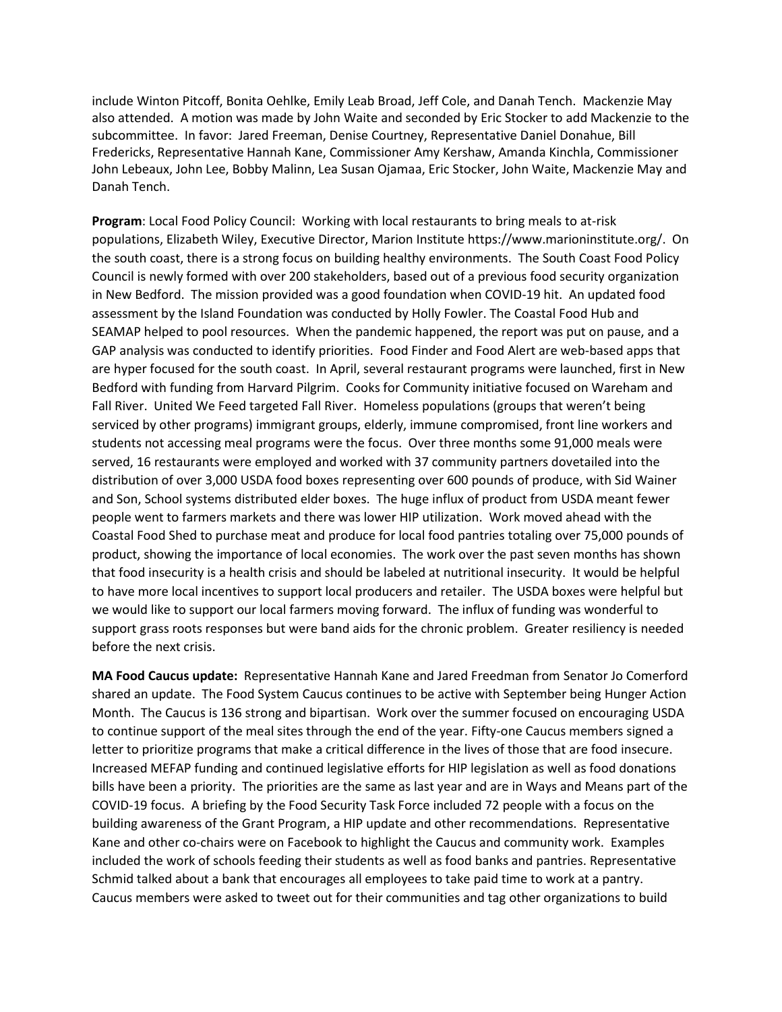include Winton Pitcoff, Bonita Oehlke, Emily Leab Broad, Jeff Cole, and Danah Tench. Mackenzie May also attended. A motion was made by John Waite and seconded by Eric Stocker to add Mackenzie to the subcommittee. In favor: Jared Freeman, Denise Courtney, Representative Daniel Donahue, Bill Fredericks, Representative Hannah Kane, Commissioner Amy Kershaw, Amanda Kinchla, Commissioner John Lebeaux, John Lee, Bobby Malinn, Lea Susan Ojamaa, Eric Stocker, John Waite, Mackenzie May and Danah Tench.

**Program**: Local Food Policy Council: Working with local restaurants to bring meals to at-risk populations, Elizabeth Wiley, Executive Director, Marion Institute https://www.marioninstitute.org/. On the south coast, there is a strong focus on building healthy environments. The South Coast Food Policy Council is newly formed with over 200 stakeholders, based out of a previous food security organization in New Bedford. The mission provided was a good foundation when COVID-19 hit. An updated food assessment by the Island Foundation was conducted by Holly Fowler. The Coastal Food Hub and SEAMAP helped to pool resources. When the pandemic happened, the report was put on pause, and a GAP analysis was conducted to identify priorities. Food Finder and Food Alert are web-based apps that are hyper focused for the south coast. In April, several restaurant programs were launched, first in New Bedford with funding from Harvard Pilgrim. Cooks for Community initiative focused on Wareham and Fall River. United We Feed targeted Fall River. Homeless populations (groups that weren't being serviced by other programs) immigrant groups, elderly, immune compromised, front line workers and students not accessing meal programs were the focus. Over three months some 91,000 meals were served, 16 restaurants were employed and worked with 37 community partners dovetailed into the distribution of over 3,000 USDA food boxes representing over 600 pounds of produce, with Sid Wainer and Son, School systems distributed elder boxes. The huge influx of product from USDA meant fewer people went to farmers markets and there was lower HIP utilization. Work moved ahead with the Coastal Food Shed to purchase meat and produce for local food pantries totaling over 75,000 pounds of product, showing the importance of local economies. The work over the past seven months has shown that food insecurity is a health crisis and should be labeled at nutritional insecurity. It would be helpful to have more local incentives to support local producers and retailer. The USDA boxes were helpful but we would like to support our local farmers moving forward. The influx of funding was wonderful to support grass roots responses but were band aids for the chronic problem. Greater resiliency is needed before the next crisis.

**MA Food Caucus update:** Representative Hannah Kane and Jared Freedman from Senator Jo Comerford shared an update. The Food System Caucus continues to be active with September being Hunger Action Month. The Caucus is 136 strong and bipartisan. Work over the summer focused on encouraging USDA to continue support of the meal sites through the end of the year. Fifty-one Caucus members signed a letter to prioritize programs that make a critical difference in the lives of those that are food insecure. Increased MEFAP funding and continued legislative efforts for HIP legislation as well as food donations bills have been a priority. The priorities are the same as last year and are in Ways and Means part of the COVID-19 focus. A briefing by the Food Security Task Force included 72 people with a focus on the building awareness of the Grant Program, a HIP update and other recommendations. Representative Kane and other co-chairs were on Facebook to highlight the Caucus and community work. Examples included the work of schools feeding their students as well as food banks and pantries. Representative Schmid talked about a bank that encourages all employees to take paid time to work at a pantry. Caucus members were asked to tweet out for their communities and tag other organizations to build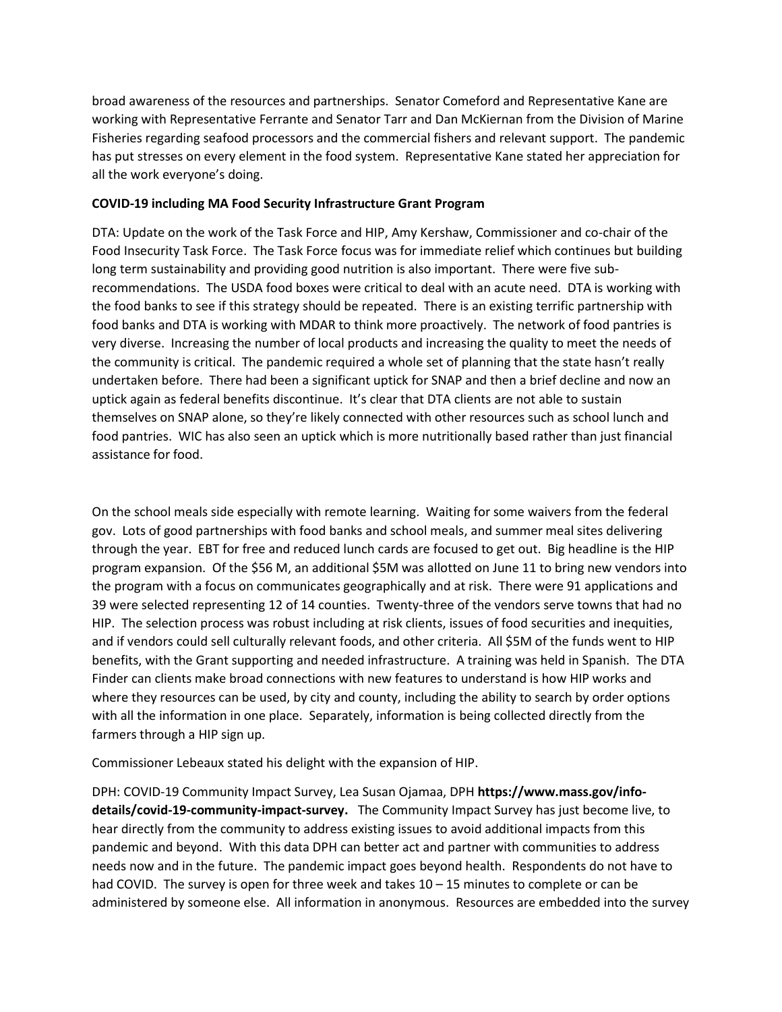broad awareness of the resources and partnerships. Senator Comeford and Representative Kane are working with Representative Ferrante and Senator Tarr and Dan McKiernan from the Division of Marine Fisheries regarding seafood processors and the commercial fishers and relevant support. The pandemic has put stresses on every element in the food system. Representative Kane stated her appreciation for all the work everyone's doing.

## **COVID-19 including MA Food Security Infrastructure Grant Program**

DTA: Update on the work of the Task Force and HIP, Amy Kershaw, Commissioner and co-chair of the Food Insecurity Task Force. The Task Force focus was for immediate relief which continues but building long term sustainability and providing good nutrition is also important. There were five subrecommendations. The USDA food boxes were critical to deal with an acute need. DTA is working with the food banks to see if this strategy should be repeated. There is an existing terrific partnership with food banks and DTA is working with MDAR to think more proactively. The network of food pantries is very diverse. Increasing the number of local products and increasing the quality to meet the needs of the community is critical. The pandemic required a whole set of planning that the state hasn't really undertaken before. There had been a significant uptick for SNAP and then a brief decline and now an uptick again as federal benefits discontinue. It's clear that DTA clients are not able to sustain themselves on SNAP alone, so they're likely connected with other resources such as school lunch and food pantries. WIC has also seen an uptick which is more nutritionally based rather than just financial assistance for food.

On the school meals side especially with remote learning. Waiting for some waivers from the federal gov. Lots of good partnerships with food banks and school meals, and summer meal sites delivering through the year. EBT for free and reduced lunch cards are focused to get out. Big headline is the HIP program expansion. Of the \$56 M, an additional \$5M was allotted on June 11 to bring new vendors into the program with a focus on communicates geographically and at risk. There were 91 applications and 39 were selected representing 12 of 14 counties. Twenty-three of the vendors serve towns that had no HIP. The selection process was robust including at risk clients, issues of food securities and inequities, and if vendors could sell culturally relevant foods, and other criteria. All \$5M of the funds went to HIP benefits, with the Grant supporting and needed infrastructure. A training was held in Spanish. The DTA Finder can clients make broad connections with new features to understand is how HIP works and where they resources can be used, by city and county, including the ability to search by order options with all the information in one place. Separately, information is being collected directly from the farmers through a HIP sign up.

Commissioner Lebeaux stated his delight with the expansion of HIP.

DPH: COVID-19 Community Impact Survey, Lea Susan Ojamaa, DPH **https://www.mass.gov/infodetails/covid-19-community-impact-survey.** The Community Impact Survey has just become live, to hear directly from the community to address existing issues to avoid additional impacts from this pandemic and beyond. With this data DPH can better act and partner with communities to address needs now and in the future. The pandemic impact goes beyond health. Respondents do not have to had COVID. The survey is open for three week and takes  $10 - 15$  minutes to complete or can be administered by someone else. All information in anonymous. Resources are embedded into the survey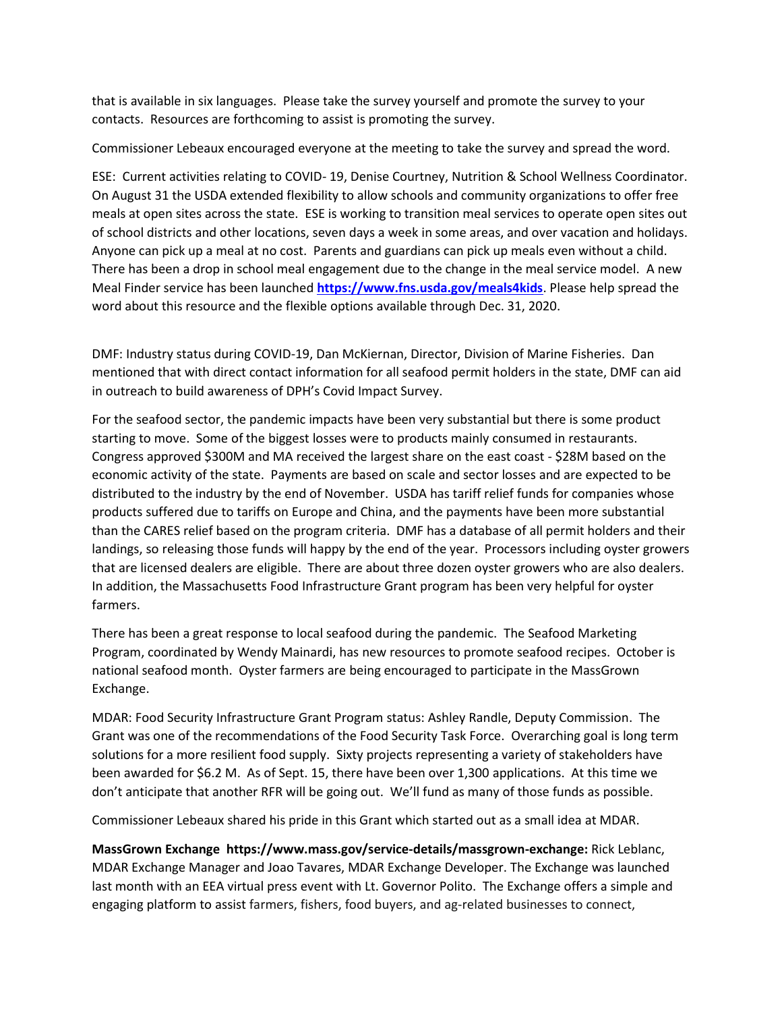that is available in six languages. Please take the survey yourself and promote the survey to your contacts. Resources are forthcoming to assist is promoting the survey.

Commissioner Lebeaux encouraged everyone at the meeting to take the survey and spread the word.

ESE: Current activities relating to COVID- 19, Denise Courtney, Nutrition & School Wellness Coordinator. On August 31 the USDA extended flexibility to allow schools and community organizations to offer free meals at open sites across the state. ESE is working to transition meal services to operate open sites out of school districts and other locations, seven days a week in some areas, and over vacation and holidays. Anyone can pick up a meal at no cost. Parents and guardians can pick up meals even without a child. There has been a drop in school meal engagement due to the change in the meal service model. A new Meal Finder service has been launched **<https://www.fns.usda.gov/meals4kids>**. Please help spread the word about this resource and the flexible options available through Dec. 31, 2020.

DMF: Industry status during COVID-19, Dan McKiernan, Director, Division of Marine Fisheries. Dan mentioned that with direct contact information for all seafood permit holders in the state, DMF can aid in outreach to build awareness of DPH's Covid Impact Survey.

For the seafood sector, the pandemic impacts have been very substantial but there is some product starting to move. Some of the biggest losses were to products mainly consumed in restaurants. Congress approved \$300M and MA received the largest share on the east coast - \$28M based on the economic activity of the state. Payments are based on scale and sector losses and are expected to be distributed to the industry by the end of November. USDA has tariff relief funds for companies whose products suffered due to tariffs on Europe and China, and the payments have been more substantial than the CARES relief based on the program criteria. DMF has a database of all permit holders and their landings, so releasing those funds will happy by the end of the year. Processors including oyster growers that are licensed dealers are eligible. There are about three dozen oyster growers who are also dealers. In addition, the Massachusetts Food Infrastructure Grant program has been very helpful for oyster farmers.

There has been a great response to local seafood during the pandemic. The Seafood Marketing Program, coordinated by Wendy Mainardi, has new resources to promote seafood recipes. October is national seafood month. Oyster farmers are being encouraged to participate in the MassGrown Exchange.

MDAR: Food Security Infrastructure Grant Program status: Ashley Randle, Deputy Commission. The Grant was one of the recommendations of the Food Security Task Force. Overarching goal is long term solutions for a more resilient food supply. Sixty projects representing a variety of stakeholders have been awarded for \$6.2 M. As of Sept. 15, there have been over 1,300 applications. At this time we don't anticipate that another RFR will be going out. We'll fund as many of those funds as possible.

Commissioner Lebeaux shared his pride in this Grant which started out as a small idea at MDAR.

**MassGrown Exchange https://www.mass.gov/service-details/massgrown-exchange:** Rick Leblanc, MDAR Exchange Manager and Joao Tavares, MDAR Exchange Developer. The Exchange was launched last month with an EEA virtual press event with Lt. Governor Polito. The Exchange offers a simple and engaging platform to assist farmers, fishers, food buyers, and ag-related businesses to connect,